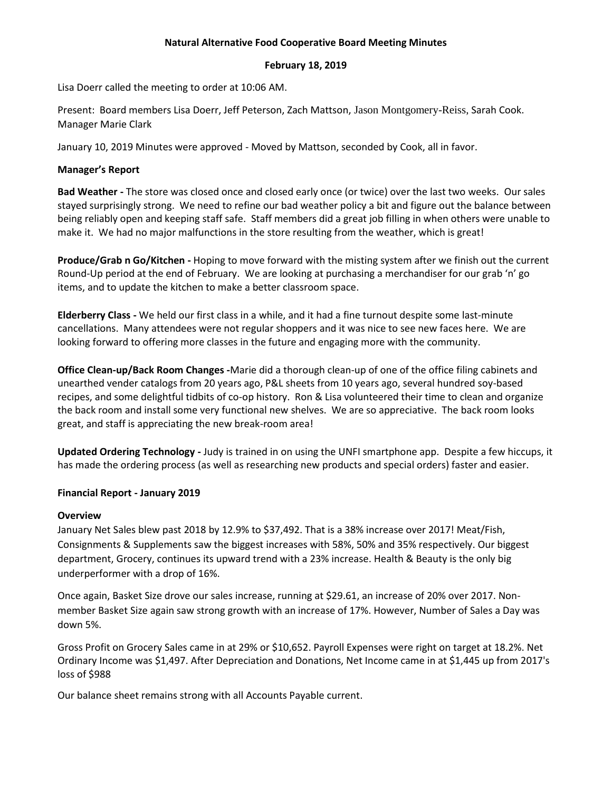#### **Natural Alternative Food Cooperative Board Meeting Minutes**

#### **February 18, 2019**

Lisa Doerr called the meeting to order at 10:06 AM.

Present: Board members Lisa Doerr, Jeff Peterson, Zach Mattson, Jason Montgomery-Reiss, Sarah Cook. Manager Marie Clark

January 10, 2019 Minutes were approved - Moved by Mattson, seconded by Cook, all in favor.

## **Manager's Report**

**Bad Weather -** The store was closed once and closed early once (or twice) over the last two weeks. Our sales stayed surprisingly strong. We need to refine our bad weather policy a bit and figure out the balance between being reliably open and keeping staff safe. Staff members did a great job filling in when others were unable to make it. We had no major malfunctions in the store resulting from the weather, which is great!

**Produce/Grab n Go/Kitchen -** Hoping to move forward with the misting system after we finish out the current Round-Up period at the end of February. We are looking at purchasing a merchandiser for our grab 'n' go items, and to update the kitchen to make a better classroom space.

**Elderberry Class -** We held our first class in a while, and it had a fine turnout despite some last-minute cancellations. Many attendees were not regular shoppers and it was nice to see new faces here. We are looking forward to offering more classes in the future and engaging more with the community.

**Office Clean-up/Back Room Changes -**Marie did a thorough clean-up of one of the office filing cabinets and unearthed vender catalogs from 20 years ago, P&L sheets from 10 years ago, several hundred soy-based recipes, and some delightful tidbits of co-op history. Ron & Lisa volunteered their time to clean and organize the back room and install some very functional new shelves. We are so appreciative. The back room looks great, and staff is appreciating the new break-room area!

**Updated Ordering Technology -** Judy is trained in on using the UNFI smartphone app. Despite a few hiccups, it has made the ordering process (as well as researching new products and special orders) faster and easier.

# **Financial Report - January 2019**

## **Overview**

January Net Sales blew past 2018 by 12.9% to \$37,492. That is a 38% increase over 2017! Meat/Fish, Consignments & Supplements saw the biggest increases with 58%, 50% and 35% respectively. Our biggest department, Grocery, continues its upward trend with a 23% increase. Health & Beauty is the only big underperformer with a drop of 16%.

Once again, Basket Size drove our sales increase, running at \$29.61, an increase of 20% over 2017. Nonmember Basket Size again saw strong growth with an increase of 17%. However, Number of Sales a Day was down 5%.

Gross Profit on Grocery Sales came in at 29% or \$10,652. Payroll Expenses were right on target at 18.2%. Net Ordinary Income was \$1,497. After Depreciation and Donations, Net Income came in at \$1,445 up from 2017's loss of \$988

Our balance sheet remains strong with all Accounts Payable current.